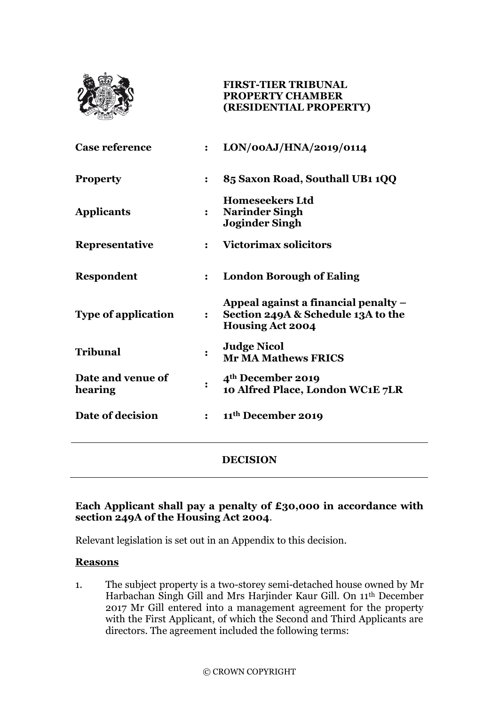

## **FIRST-TIER TRIBUNAL PROPERTY CHAMBER (RESIDENTIAL PROPERTY)**

| <b>Case reference</b>        |                | LON/00AJ/HNA/2019/0114                                                                                |
|------------------------------|----------------|-------------------------------------------------------------------------------------------------------|
| <b>Property</b>              |                | 85 Saxon Road, Southall UB1 1QQ                                                                       |
| <b>Applicants</b>            |                | <b>Homeseekers Ltd</b><br><b>Narinder Singh</b><br><b>Joginder Singh</b>                              |
| Representative               | $\ddot{\cdot}$ | <b>Victorimax solicitors</b>                                                                          |
| <b>Respondent</b>            | $\ddot{\cdot}$ | <b>London Borough of Ealing</b>                                                                       |
| <b>Type of application</b>   | $\ddot{\cdot}$ | Appeal against a financial penalty –<br>Section 249A & Schedule 13A to the<br><b>Housing Act 2004</b> |
| Tribunal                     |                | <b>Judge Nicol</b><br><b>Mr MA Mathews FRICS</b>                                                      |
| Date and venue of<br>hearing |                | 4 <sup>th</sup> December 2019<br>10 Alfred Place, London WC1E 7LR                                     |
| Date of decision             | $\ddot{\cdot}$ | 11 <sup>th</sup> December 2019                                                                        |
|                              |                | DECISION                                                                                              |

# **Each Applicant shall pay a penalty of £30,000 in accordance with section 249A of the Housing Act 2004**.

Relevant legislation is set out in an Appendix to this decision.

## **Reasons**

1. The subject property is a two-storey semi-detached house owned by Mr Harbachan Singh Gill and Mrs Harjinder Kaur Gill. On 11th December 2017 Mr Gill entered into a management agreement for the property with the First Applicant, of which the Second and Third Applicants are directors. The agreement included the following terms: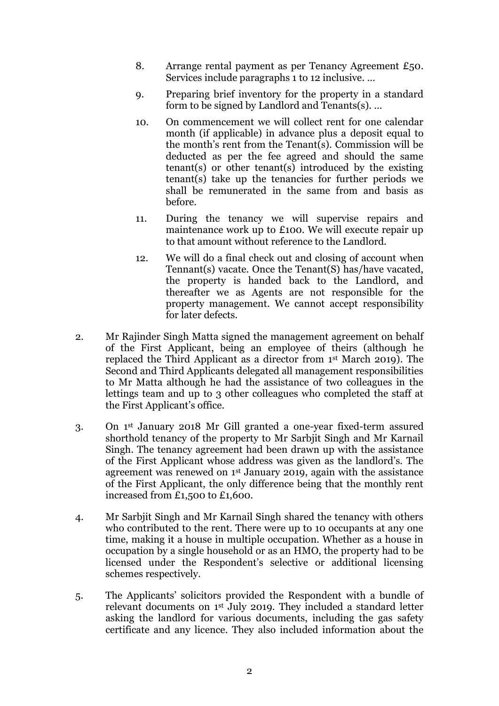- 8. Arrange rental payment as per Tenancy Agreement £50. Services include paragraphs 1 to 12 inclusive. …
- 9. Preparing brief inventory for the property in a standard form to be signed by Landlord and Tenants(s). …
- 10. On commencement we will collect rent for one calendar month (if applicable) in advance plus a deposit equal to the month's rent from the Tenant(s). Commission will be deducted as per the fee agreed and should the same tenant(s) or other tenant(s) introduced by the existing tenant(s) take up the tenancies for further periods we shall be remunerated in the same from and basis as before.
- 11. During the tenancy we will supervise repairs and maintenance work up to £100. We will execute repair up to that amount without reference to the Landlord.
- 12. We will do a final check out and closing of account when Tennant(s) vacate. Once the Tenant(S) has/have vacated, the property is handed back to the Landlord, and thereafter we as Agents are not responsible for the property management. We cannot accept responsibility for later defects.
- 2. Mr Rajinder Singh Matta signed the management agreement on behalf of the First Applicant, being an employee of theirs (although he replaced the Third Applicant as a director from 1st March 2019). The Second and Third Applicants delegated all management responsibilities to Mr Matta although he had the assistance of two colleagues in the lettings team and up to 3 other colleagues who completed the staff at the First Applicant's office.
- 3. On 1st January 2018 Mr Gill granted a one-year fixed-term assured shorthold tenancy of the property to Mr Sarbjit Singh and Mr Karnail Singh. The tenancy agreement had been drawn up with the assistance of the First Applicant whose address was given as the landlord's. The agreement was renewed on 1st January 2019, again with the assistance of the First Applicant, the only difference being that the monthly rent increased from £1,500 to £1,600.
- 4. Mr Sarbjit Singh and Mr Karnail Singh shared the tenancy with others who contributed to the rent. There were up to 10 occupants at any one time, making it a house in multiple occupation. Whether as a house in occupation by a single household or as an HMO, the property had to be licensed under the Respondent's selective or additional licensing schemes respectively.
- 5. The Applicants' solicitors provided the Respondent with a bundle of relevant documents on 1st July 2019. They included a standard letter asking the landlord for various documents, including the gas safety certificate and any licence. They also included information about the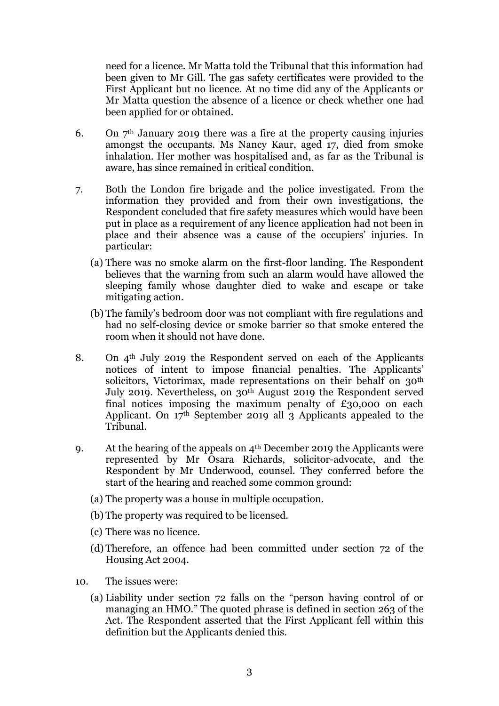need for a licence. Mr Matta told the Tribunal that this information had been given to Mr Gill. The gas safety certificates were provided to the First Applicant but no licence. At no time did any of the Applicants or Mr Matta question the absence of a licence or check whether one had been applied for or obtained.

- 6. On  $7<sup>th</sup>$  January 2019 there was a fire at the property causing injuries amongst the occupants. Ms Nancy Kaur, aged 17, died from smoke inhalation. Her mother was hospitalised and, as far as the Tribunal is aware, has since remained in critical condition.
- 7. Both the London fire brigade and the police investigated. From the information they provided and from their own investigations, the Respondent concluded that fire safety measures which would have been put in place as a requirement of any licence application had not been in place and their absence was a cause of the occupiers' injuries. In particular:
	- (a) There was no smoke alarm on the first-floor landing. The Respondent believes that the warning from such an alarm would have allowed the sleeping family whose daughter died to wake and escape or take mitigating action.
	- (b) The family's bedroom door was not compliant with fire regulations and had no self-closing device or smoke barrier so that smoke entered the room when it should not have done.
- 8. On  $4<sup>th</sup>$  July 2019 the Respondent served on each of the Applicants notices of intent to impose financial penalties. The Applicants' solicitors, Victorimax, made representations on their behalf on 30<sup>th</sup> July 2019. Nevertheless, on  $30<sup>th</sup>$  August 2019 the Respondent served final notices imposing the maximum penalty of  $£30,000$  on each Applicant. On 17th September 2019 all 3 Applicants appealed to the Tribunal.
- 9. At the hearing of the appeals on  $4<sup>th</sup>$  December 2019 the Applicants were represented by Mr Osara Richards, solicitor-advocate, and the Respondent by Mr Underwood, counsel. They conferred before the start of the hearing and reached some common ground:
	- (a) The property was a house in multiple occupation.
	- (b) The property was required to be licensed.
	- (c) There was no licence.
	- (d) Therefore, an offence had been committed under section 72 of the Housing Act 2004.
- 10. The issues were:
	- (a) Liability under section 72 falls on the "person having control of or managing an HMO." The quoted phrase is defined in section 263 of the Act. The Respondent asserted that the First Applicant fell within this definition but the Applicants denied this.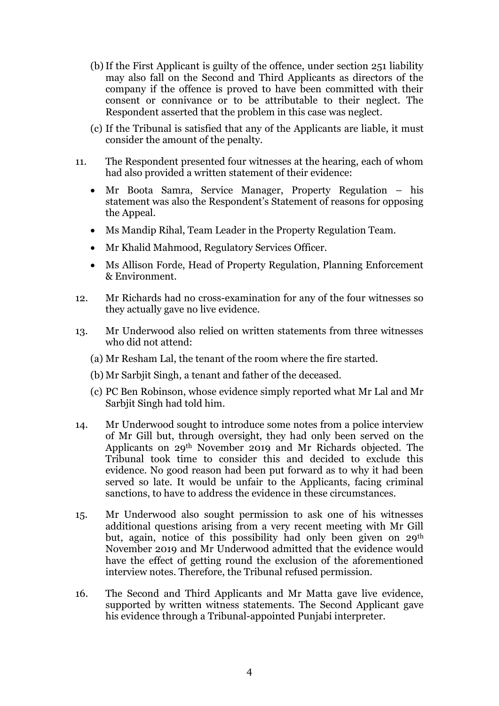- (b)If the First Applicant is guilty of the offence, under section 251 liability may also fall on the Second and Third Applicants as directors of the company if the offence is proved to have been committed with their consent or connivance or to be attributable to their neglect. The Respondent asserted that the problem in this case was neglect.
- (c) If the Tribunal is satisfied that any of the Applicants are liable, it must consider the amount of the penalty.
- 11. The Respondent presented four witnesses at the hearing, each of whom had also provided a written statement of their evidence:
	- Mr Boota Samra, Service Manager, Property Regulation his statement was also the Respondent's Statement of reasons for opposing the Appeal.
	- Ms Mandip Rihal, Team Leader in the Property Regulation Team.
	- Mr Khalid Mahmood, Regulatory Services Officer.
	- Ms Allison Forde, Head of Property Regulation, Planning Enforcement & Environment.
- 12. Mr Richards had no cross-examination for any of the four witnesses so they actually gave no live evidence.
- 13. Mr Underwood also relied on written statements from three witnesses who did not attend:
	- (a) Mr Resham Lal, the tenant of the room where the fire started.
	- (b) Mr Sarbjit Singh, a tenant and father of the deceased.
	- (c) PC Ben Robinson, whose evidence simply reported what Mr Lal and Mr Sarbjit Singh had told him.
- 14. Mr Underwood sought to introduce some notes from a police interview of Mr Gill but, through oversight, they had only been served on the Applicants on 29th November 2019 and Mr Richards objected. The Tribunal took time to consider this and decided to exclude this evidence. No good reason had been put forward as to why it had been served so late. It would be unfair to the Applicants, facing criminal sanctions, to have to address the evidence in these circumstances.
- 15. Mr Underwood also sought permission to ask one of his witnesses additional questions arising from a very recent meeting with Mr Gill but, again, notice of this possibility had only been given on 29th November 2019 and Mr Underwood admitted that the evidence would have the effect of getting round the exclusion of the aforementioned interview notes. Therefore, the Tribunal refused permission.
- 16. The Second and Third Applicants and Mr Matta gave live evidence, supported by written witness statements. The Second Applicant gave his evidence through a Tribunal-appointed Punjabi interpreter.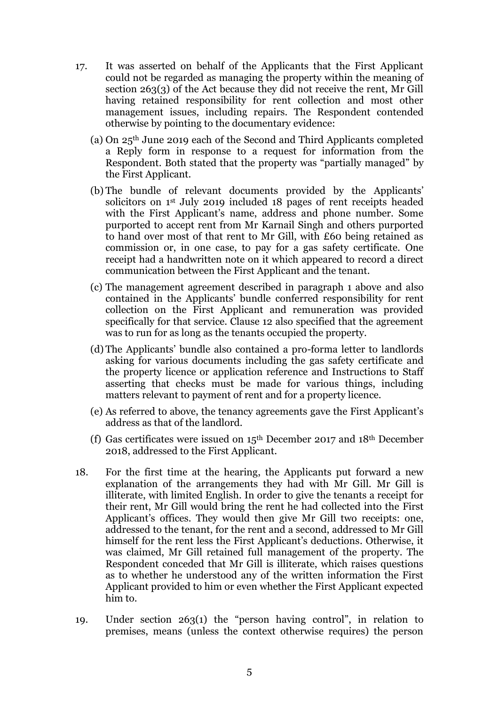- 17. It was asserted on behalf of the Applicants that the First Applicant could not be regarded as managing the property within the meaning of section 263(3) of the Act because they did not receive the rent, Mr Gill having retained responsibility for rent collection and most other management issues, including repairs. The Respondent contended otherwise by pointing to the documentary evidence:
	- (a) On 25th June 2019 each of the Second and Third Applicants completed a Reply form in response to a request for information from the Respondent. Both stated that the property was "partially managed" by the First Applicant.
	- (b) The bundle of relevant documents provided by the Applicants' solicitors on 1st July 2019 included 18 pages of rent receipts headed with the First Applicant's name, address and phone number. Some purported to accept rent from Mr Karnail Singh and others purported to hand over most of that rent to Mr Gill, with £60 being retained as commission or, in one case, to pay for a gas safety certificate. One receipt had a handwritten note on it which appeared to record a direct communication between the First Applicant and the tenant.
	- (c) The management agreement described in paragraph 1 above and also contained in the Applicants' bundle conferred responsibility for rent collection on the First Applicant and remuneration was provided specifically for that service. Clause 12 also specified that the agreement was to run for as long as the tenants occupied the property.
	- (d) The Applicants' bundle also contained a pro-forma letter to landlords asking for various documents including the gas safety certificate and the property licence or application reference and Instructions to Staff asserting that checks must be made for various things, including matters relevant to payment of rent and for a property licence.
	- (e) As referred to above, the tenancy agreements gave the First Applicant's address as that of the landlord.
	- (f) Gas certificates were issued on 15th December 2017 and 18th December 2018, addressed to the First Applicant.
- 18. For the first time at the hearing, the Applicants put forward a new explanation of the arrangements they had with Mr Gill. Mr Gill is illiterate, with limited English. In order to give the tenants a receipt for their rent, Mr Gill would bring the rent he had collected into the First Applicant's offices. They would then give Mr Gill two receipts: one, addressed to the tenant, for the rent and a second, addressed to Mr Gill himself for the rent less the First Applicant's deductions. Otherwise, it was claimed, Mr Gill retained full management of the property. The Respondent conceded that Mr Gill is illiterate, which raises questions as to whether he understood any of the written information the First Applicant provided to him or even whether the First Applicant expected him to.
- 19. Under section 263(1) the "person having control", in relation to premises, means (unless the context otherwise requires) the person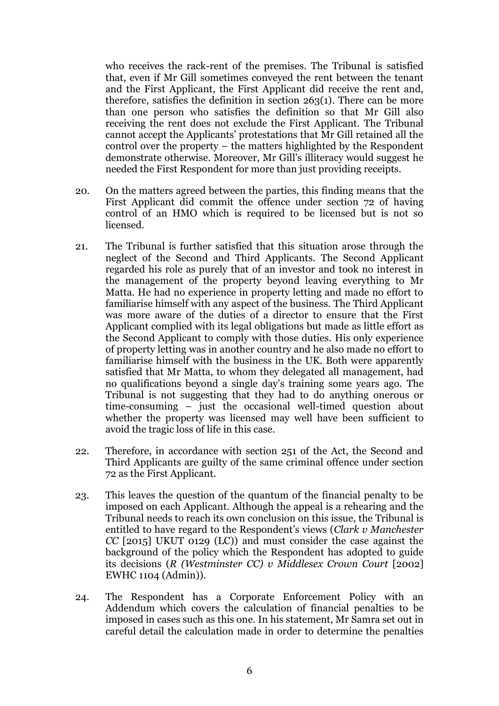who receives the rack-rent of the premises. The Tribunal is satisfied that, even if Mr Gill sometimes conveyed the rent between the tenant and the First Applicant, the First Applicant did receive the rent and, therefore, satisfies the definition in section 263(1). There can be more than one person who satisfies the definition so that Mr Gill also receiving the rent does not exclude the First Applicant. The Tribunal cannot accept the Applicants' protestations that Mr Gill retained all the control over the property – the matters highlighted by the Respondent demonstrate otherwise. Moreover, Mr Gill's illiteracy would suggest he needed the First Respondent for more than just providing receipts.

- 20. On the matters agreed between the parties, this finding means that the First Applicant did commit the offence under section 72 of having control of an HMO which is required to be licensed but is not so licensed.
- 21. The Tribunal is further satisfied that this situation arose through the neglect of the Second and Third Applicants. The Second Applicant regarded his role as purely that of an investor and took no interest in the management of the property beyond leaving everything to Mr Matta. He had no experience in property letting and made no effort to familiarise himself with any aspect of the business. The Third Applicant was more aware of the duties of a director to ensure that the First Applicant complied with its legal obligations but made as little effort as the Second Applicant to comply with those duties. His only experience of property letting was in another country and he also made no effort to familiarise himself with the business in the UK. Both were apparently satisfied that Mr Matta, to whom they delegated all management, had no qualifications beyond a single day's training some years ago. The Tribunal is not suggesting that they had to do anything onerous or time-consuming – just the occasional well-timed question about whether the property was licensed may well have been sufficient to avoid the tragic loss of life in this case.
- 22. Therefore, in accordance with section 251 of the Act, the Second and Third Applicants are guilty of the same criminal offence under section 72 as the First Applicant.
- 23. This leaves the question of the quantum of the financial penalty to be imposed on each Applicant. Although the appeal is a rehearing and the Tribunal needs to reach its own conclusion on this issue, the Tribunal is entitled to have regard to the Respondent's views (*Clark v Manchester CC* [2015] UKUT 0129 (LC)) and must consider the case against the background of the policy which the Respondent has adopted to guide its decisions (*R (Westminster CC) v Middlesex Crown Court* [2002] EWHC 1104 (Admin)).
- 24. The Respondent has a Corporate Enforcement Policy with an Addendum which covers the calculation of financial penalties to be imposed in cases such as this one. In his statement, Mr Samra set out in careful detail the calculation made in order to determine the penalties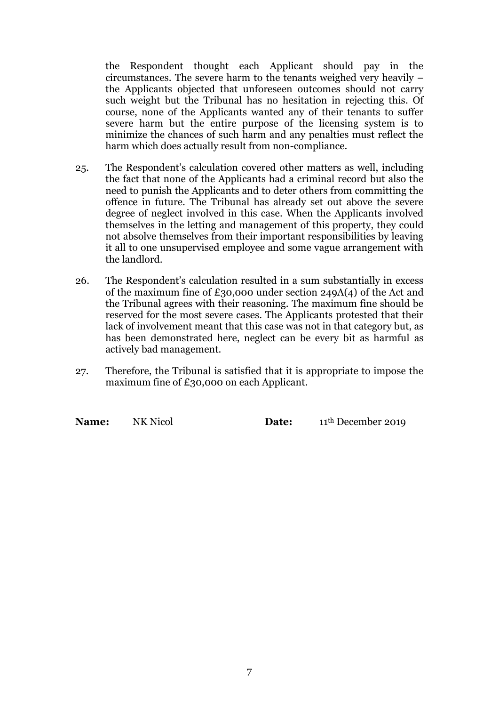the Respondent thought each Applicant should pay in the circumstances. The severe harm to the tenants weighed very heavily – the Applicants objected that unforeseen outcomes should not carry such weight but the Tribunal has no hesitation in rejecting this. Of course, none of the Applicants wanted any of their tenants to suffer severe harm but the entire purpose of the licensing system is to minimize the chances of such harm and any penalties must reflect the harm which does actually result from non-compliance.

- 25. The Respondent's calculation covered other matters as well, including the fact that none of the Applicants had a criminal record but also the need to punish the Applicants and to deter others from committing the offence in future. The Tribunal has already set out above the severe degree of neglect involved in this case. When the Applicants involved themselves in the letting and management of this property, they could not absolve themselves from their important responsibilities by leaving it all to one unsupervised employee and some vague arrangement with the landlord.
- 26. The Respondent's calculation resulted in a sum substantially in excess of the maximum fine of £30,000 under section 249A(4) of the Act and the Tribunal agrees with their reasoning. The maximum fine should be reserved for the most severe cases. The Applicants protested that their lack of involvement meant that this case was not in that category but, as has been demonstrated here, neglect can be every bit as harmful as actively bad management.
- 27. Therefore, the Tribunal is satisfied that it is appropriate to impose the maximum fine of £30,000 on each Applicant.

**Name:** NK Nicol **Date:** 11<sup>th</sup> December 2019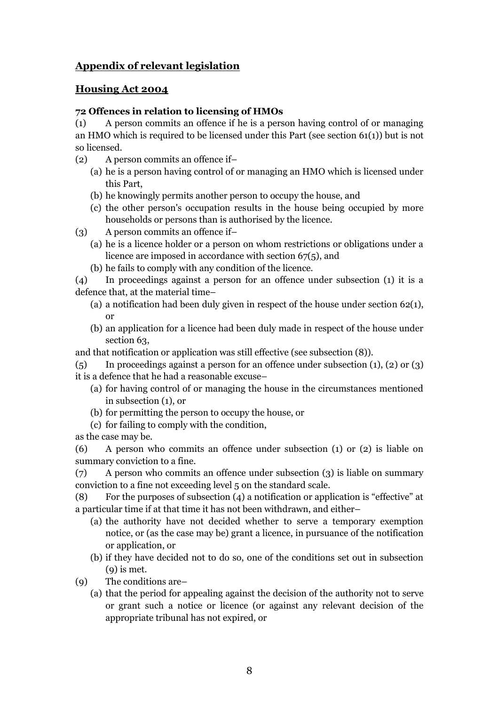# **Appendix of relevant legislation**

## **Housing Act 2004**

## **72 Offences in relation to licensing of HMOs**

(1) A person commits an offence if he is a person having control of or managing an HMO which is required to be licensed under this Part (see section 61(1)) but is not so licensed.

- (2) A person commits an offence if–
	- (a) he is a person having control of or managing an HMO which is licensed under this Part,
	- (b) he knowingly permits another person to occupy the house, and
	- (c) the other person's occupation results in the house being occupied by more households or persons than is authorised by the licence.
- (3) A person commits an offence if–
	- (a) he is a licence holder or a person on whom restrictions or obligations under a licence are imposed in accordance with section 67(5), and
	- (b) he fails to comply with any condition of the licence.
- (4) In proceedings against a person for an offence under subsection (1) it is a defence that, at the material time–
	- (a) a notification had been duly given in respect of the house under section  $62(1)$ , or
	- (b) an application for a licence had been duly made in respect of the house under section 63,
- and that notification or application was still effective (see subsection (8)).
- $(5)$  In proceedings against a person for an offence under subsection  $(1)$ ,  $(2)$  or  $(3)$ it is a defence that he had a reasonable excuse–
	- (a) for having control of or managing the house in the circumstances mentioned in subsection (1), or
	- (b) for permitting the person to occupy the house, or
	- (c) for failing to comply with the condition,

as the case may be.

(6) A person who commits an offence under subsection (1) or (2) is liable on summary conviction to a fine.

(7) A person who commits an offence under subsection (3) is liable on summary conviction to a fine not exceeding level 5 on the standard scale.

(8) For the purposes of subsection (4) a notification or application is "effective" at a particular time if at that time it has not been withdrawn, and either–

- (a) the authority have not decided whether to serve a temporary exemption notice, or (as the case may be) grant a licence, in pursuance of the notification or application, or
- (b) if they have decided not to do so, one of the conditions set out in subsection  $(q)$  is met.
- (9) The conditions are–
	- (a) that the period for appealing against the decision of the authority not to serve or grant such a notice or licence (or against any relevant decision of the appropriate tribunal has not expired, or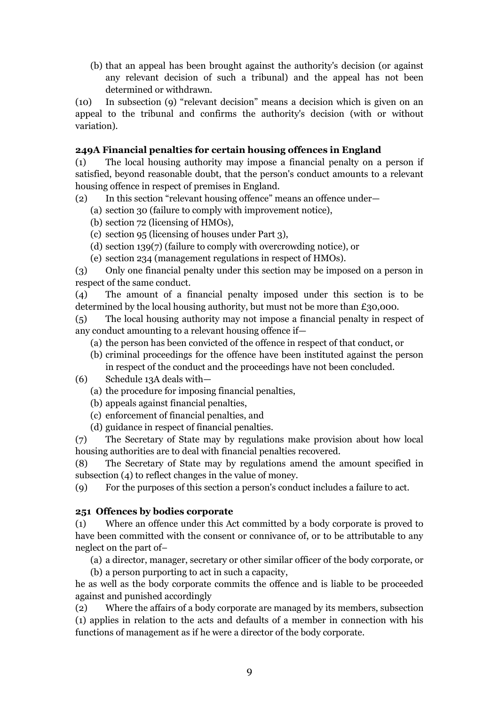(b) that an appeal has been brought against the authority's decision (or against any relevant decision of such a tribunal) and the appeal has not been determined or withdrawn.

(10) In subsection (9) "relevant decision" means a decision which is given on an appeal to the tribunal and confirms the authority's decision (with or without variation).

### **249A Financial penalties for certain housing offences in England**

(1) The local housing authority may impose a financial penalty on a person if satisfied, beyond reasonable doubt, that the person's conduct amounts to a relevant housing offence in respect of premises in England.

(2) In this section "relevant housing offence" means an offence under—

- (a) section 30 (failure to comply with improvement notice),
- (b) section 72 (licensing of HMOs),
- (c) section 95 (licensing of houses under Part 3),
- (d) section 139(7) (failure to comply with overcrowding notice), or
- (e) section 234 (management regulations in respect of HMOs).

(3) Only one financial penalty under this section may be imposed on a person in respect of the same conduct.

(4) The amount of a financial penalty imposed under this section is to be determined by the local housing authority, but must not be more than £30,000.

(5) The local housing authority may not impose a financial penalty in respect of any conduct amounting to a relevant housing offence if—

- (a) the person has been convicted of the offence in respect of that conduct, or
- (b) criminal proceedings for the offence have been instituted against the person in respect of the conduct and the proceedings have not been concluded.
- (6) Schedule 13A deals with—
	- (a) the procedure for imposing financial penalties,
	- (b) appeals against financial penalties,
	- (c) enforcement of financial penalties, and
	- (d) guidance in respect of financial penalties.

(7) The Secretary of State may by regulations make provision about how local housing authorities are to deal with financial penalties recovered.

(8) The Secretary of State may by regulations amend the amount specified in subsection (4) to reflect changes in the value of money.

(9) For the purposes of this section a person's conduct includes a failure to act.

#### **251 Offences by bodies corporate**

(1) Where an offence under this Act committed by a body corporate is proved to have been committed with the consent or connivance of, or to be attributable to any neglect on the part of–

(a) a director, manager, secretary or other similar officer of the body corporate, or

(b) a person purporting to act in such a capacity, he as well as the body corporate commits the offence and is liable to be proceeded against and punished accordingly

(2) Where the affairs of a body corporate are managed by its members, subsection (1) applies in relation to the acts and defaults of a member in connection with his functions of management as if he were a director of the body corporate.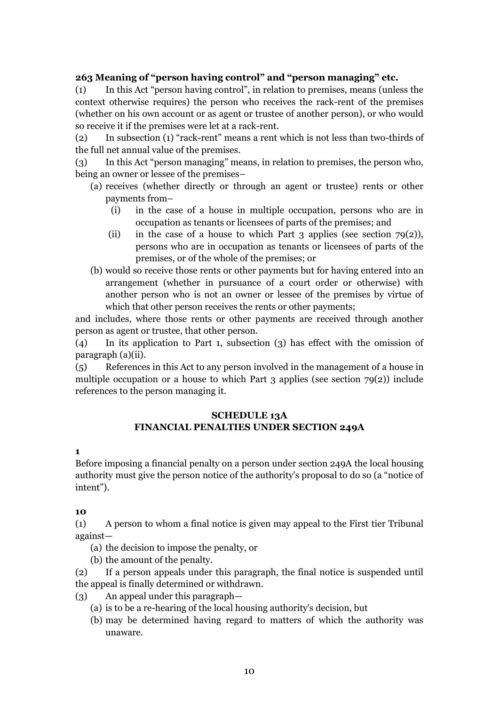### **263 Meaning of "person having control" and "person managing" etc.**

(1) In this Act "person having control", in relation to premises, means (unless the context otherwise requires) the person who receives the rack-rent of the premises (whether on his own account or as agent or trustee of another person), or who would so receive it if the premises were let at a rack-rent.

(2) In subsection (1) "rack-rent" means a rent which is not less than two-thirds of the full net annual value of the premises.

(3) In this Act "person managing" means, in relation to premises, the person who, being an owner or lessee of the premises–

- (a) receives (whether directly or through an agent or trustee) rents or other payments from–
	- (i) in the case of a house in multiple occupation, persons who are in occupation as tenants or licensees of parts of the premises; and
	- (ii) in the case of a house to which Part 3 applies (see section  $79(2)$ ), persons who are in occupation as tenants or licensees of parts of the premises, or of the whole of the premises; or
- (b) would so receive those rents or other payments but for having entered into an arrangement (whether in pursuance of a court order or otherwise) with another person who is not an owner or lessee of the premises by virtue of which that other person receives the rents or other payments;

and includes, where those rents or other payments are received through another person as agent or trustee, that other person.

(4) In its application to Part 1, subsection (3) has effect with the omission of paragraph (a)(ii).

(5) References in this Act to any person involved in the management of a house in multiple occupation or a house to which Part 3 applies (see section  $79(2)$ ) include references to the person managing it.

#### **SCHEDULE 13A FINANCIAL PENALTIES UNDER SECTION 249A**

#### **1**

Before imposing a financial penalty on a person under section 249A the local housing authority must give the person notice of the authority's proposal to do so (a "notice of intent").

#### **10**

(1) A person to whom a final notice is given may appeal to the First tier Tribunal against—

- (a) the decision to impose the penalty, or
- (b) the amount of the penalty.

(2) If a person appeals under this paragraph, the final notice is suspended until the appeal is finally determined or withdrawn.

- (3) An appeal under this paragraph—
	- (a) is to be a re-hearing of the local housing authority's decision, but
	- (b) may be determined having regard to matters of which the authority was unaware.